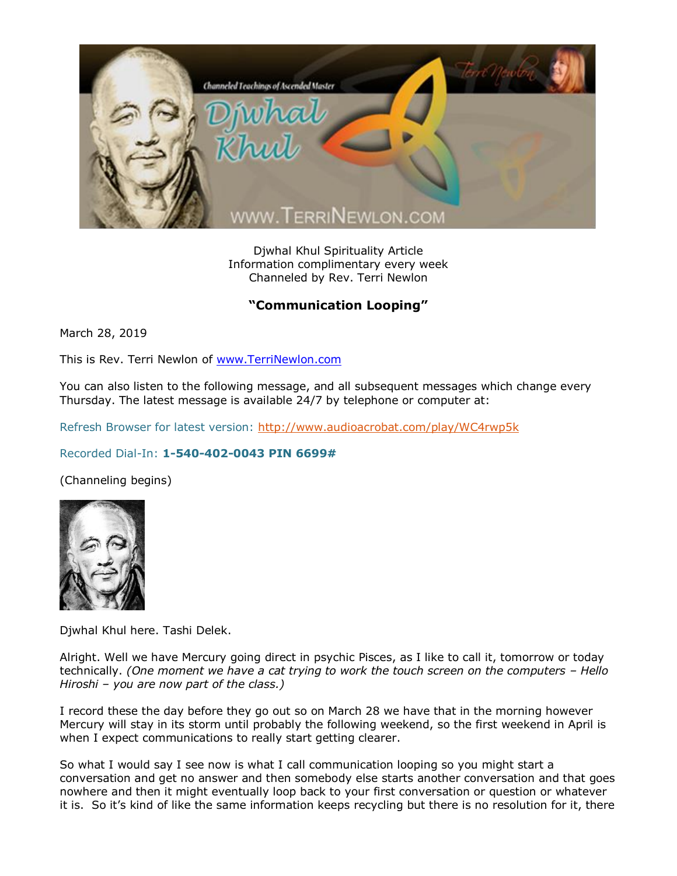

Djwhal Khul Spirituality Article Information complimentary every week Channeled by Rev. Terri Newlon

## **"Communication Looping"**

March 28, 2019

This is Rev. Terri Newlon of [www.TerriNewlon.com](http://www.terrinewlon.com/)

You can also listen to the following message, and all subsequent messages which change every Thursday. The latest message is available 24/7 by telephone or computer at:

Refresh Browser for latest version:<http://www.audioacrobat.com/play/WC4rwp5k>

## Recorded Dial-In: **1-540-402-0043 PIN 6699#**

(Channeling begins)



Djwhal Khul here. Tashi Delek.

Alright. Well we have Mercury going direct in psychic Pisces, as I like to call it, tomorrow or today technically. *(One moment we have a cat trying to work the touch screen on the computers - Hello Hiroshi – you are now part of the class.)*

I record these the day before they go out so on March 28 we have that in the morning however Mercury will stay in its storm until probably the following weekend, so the first weekend in April is when I expect communications to really start getting clearer.

So what I would say I see now is what I call communication looping so you might start a conversation and get no answer and then somebody else starts another conversation and that goes nowhere and then it might eventually loop back to your first conversation or question or whatever it is. So it's kind of like the same information keeps recycling but there is no resolution for it, there